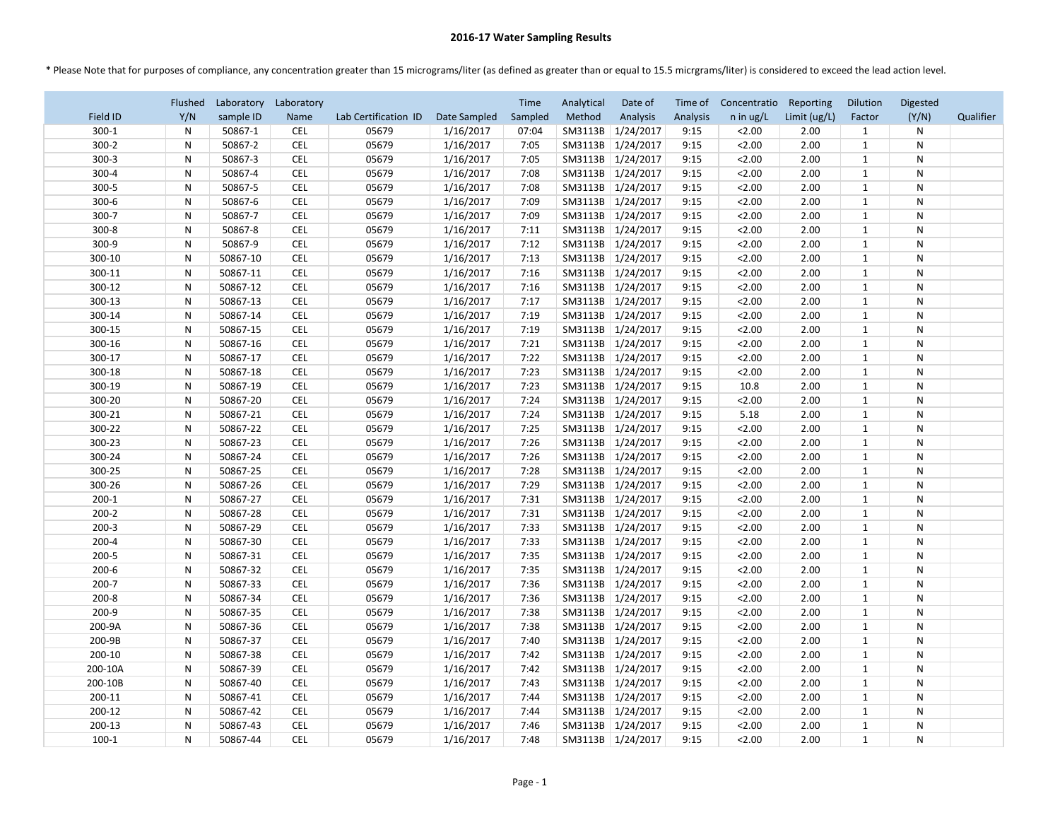## **2016-17 Water Sampling Results**

\* Please Note that for purposes of compliance, any concentration greater than 15 micrograms/liter (as defined as greater than or equal to 15.5 micrgrams/liter) is considered to exceed the lead action level.

|           | Flushed      | Laboratory | Laboratory               |                      |                        | <b>Time</b> | Analytical | Date of                                    | Time of  | Concentratio | Reporting    | <b>Dilution</b> | Digested     |           |
|-----------|--------------|------------|--------------------------|----------------------|------------------------|-------------|------------|--------------------------------------------|----------|--------------|--------------|-----------------|--------------|-----------|
| Field ID  | Y/N          | sample ID  | Name                     | Lab Certification ID | Date Sampled           | Sampled     | Method     | Analysis                                   | Analysis | $n$ in ug/L  | Limit (ug/L) | Factor          | (Y/N)        | Qualifier |
| $300-1$   | $\mathsf{N}$ | 50867-1    | <b>CEL</b>               | 05679                | 1/16/2017              | 07:04       | SM3113B    | 1/24/2017                                  | 9:15     | 2.00         | 2.00         | 1               | N            |           |
| $300-2$   | N            | 50867-2    | <b>CEL</b>               | 05679                | 1/16/2017              | 7:05        | SM3113B    | 1/24/2017                                  | 9:15     | 2.00         | 2.00         | $\mathbf{1}$    | N            |           |
| $300-3$   | N.           | 50867-3    | <b>CEL</b>               | 05679                | 1/16/2017              | 7:05        | SM3113B    | 1/24/2017                                  | 9:15     | 2.00         | 2.00         | 1               | N            |           |
| $300 - 4$ | N            | 50867-4    | <b>CEL</b>               | 05679                | 1/16/2017              | 7:08        | SM3113B    | 1/24/2017                                  | 9:15     | 2.00         | 2.00         | $\mathbf{1}$    | N            |           |
| 300-5     | N            | 50867-5    | <b>CEL</b>               | 05679                | 1/16/2017              | 7:08        | SM3113B    | 1/24/2017                                  | 9:15     | 2.00         | 2.00         | $\mathbf{1}$    | N            |           |
| $300-6$   | N            | 50867-6    | <b>CEL</b>               | 05679                | 1/16/2017              | 7:09        | SM3113B    | 1/24/2017                                  | 9:15     | 2.00         | 2.00         | $\mathbf{1}$    | N            |           |
| 300-7     | N            | 50867-7    | <b>CEL</b>               | 05679                | 1/16/2017              | 7:09        | SM3113B    | 1/24/2017                                  | 9:15     | 2.00         | 2.00         | $\mathbf{1}$    | N            |           |
| $300 - 8$ | N            | 50867-8    | <b>CEL</b>               | 05679                | 1/16/2017              | 7:11        | SM3113B    | 1/24/2017                                  | 9:15     | 2.00         | 2.00         | 1               | N            |           |
| 300-9     | N            | 50867-9    | <b>CEL</b>               | 05679                | 1/16/2017              | 7:12        | SM3113B    | 1/24/2017                                  | 9:15     | 2.00         | 2.00         | $\mathbf{1}$    | $\mathsf{N}$ |           |
| 300-10    | $\mathsf{N}$ | 50867-10   | <b>CEL</b>               | 05679                | 1/16/2017              | 7:13        | SM3113B    | 1/24/2017                                  | 9:15     | 2.00         | 2.00         | $\mathbf{1}$    | N            |           |
| 300-11    | N            | 50867-11   | <b>CEL</b>               | 05679                | 1/16/2017              | 7:16        | SM3113B    | 1/24/2017                                  | 9:15     | 2.00         | 2.00         | $\mathbf{1}$    | N            |           |
| 300-12    | N            | 50867-12   | <b>CEL</b>               | 05679                | 1/16/2017              | 7:16        | SM3113B    | 1/24/2017                                  | 9:15     | 2.00         | 2.00         | 1               | N            |           |
| 300-13    | N.           | 50867-13   | <b>CEL</b>               | 05679                | 1/16/2017              | 7:17        | SM3113B    | 1/24/2017                                  | 9:15     | 2.00         | 2.00         | $\mathbf{1}$    | N            |           |
| 300-14    | $\mathsf{N}$ | 50867-14   | <b>CEL</b>               | 05679                | 1/16/2017              | 7:19        | SM3113B    | 1/24/2017                                  | 9:15     | 2.00         | 2.00         | $\mathbf{1}$    | ${\sf N}$    |           |
| 300-15    | N            | 50867-15   | <b>CEL</b>               | 05679                | 1/16/2017              | 7:19        | SM3113B    | 1/24/2017                                  | 9:15     | 2.00         | 2.00         | $\mathbf{1}$    | N            |           |
| 300-16    | N.           | 50867-16   | <b>CEL</b>               | 05679                | 1/16/2017              | 7:21        | SM3113B    | 1/24/2017                                  | 9:15     | 2.00         | 2.00         | $\mathbf{1}$    | N            |           |
| 300-17    | N            | 50867-17   | <b>CEL</b>               | 05679                | 1/16/2017              | 7:22        | SM3113B    | 1/24/2017                                  | 9:15     | 2.00         | 2.00         | 1               | N            |           |
| 300-18    | N            | 50867-18   | <b>CEL</b>               | 05679                | 1/16/2017              | 7:23        | SM3113B    | 1/24/2017                                  | 9:15     | 2.00         | 2.00         | $\mathbf{1}$    | N            |           |
| 300-19    | N            | 50867-19   | <b>CEL</b>               | 05679                | 1/16/2017              | 7:23        | SM3113B    | 1/24/2017                                  | 9:15     | 10.8         | 2.00         | $\mathbf{1}$    | N            |           |
| 300-20    | N            | 50867-20   | <b>CEL</b>               | 05679                | 1/16/2017              | 7:24        | SM3113B    | 1/24/2017                                  | 9:15     | 2.00         | 2.00         | $\mathbf{1}$    | N            |           |
| 300-21    | N            | 50867-21   | <b>CEL</b>               | 05679                | 1/16/2017              | 7:24        | SM3113B    | 1/24/2017                                  | 9:15     | 5.18         | 2.00         | 1               | N            |           |
| 300-22    | N            | 50867-22   | <b>CEL</b>               | 05679                | 1/16/2017              | 7:25        | SM3113B    | 1/24/2017                                  | 9:15     | 2.00         | 2.00         | $\mathbf{1}$    | $\mathsf{N}$ |           |
| 300-23    | N            | 50867-23   | <b>CEL</b>               | 05679                | 1/16/2017              | 7:26        | SM3113B    | 1/24/2017                                  | 9:15     | 2.00         | 2.00         | $\mathbf{1}$    | N            |           |
| 300-24    | N            | 50867-24   | <b>CEL</b>               | 05679                | 1/16/2017              | 7:26        | SM3113B    | 1/24/2017                                  | 9:15     | 2.00         | 2.00         | 1               | N            |           |
| 300-25    | N            | 50867-25   | <b>CEL</b>               | 05679                | 1/16/2017              | 7:28        | SM3113B    | 1/24/2017                                  | 9:15     | 2.00         | 2.00         | $\mathbf{1}$    | N            |           |
| 300-26    | N            | 50867-26   | <b>CEL</b>               | 05679                | 1/16/2017              | 7:29        | SM3113B    | 1/24/2017                                  | 9:15     | 2.00         | 2.00         | $\mathbf{1}$    | N            |           |
| $200-1$   | N            | 50867-27   | <b>CEL</b>               | 05679                | 1/16/2017              | 7:31        | SM3113B    | 1/24/2017                                  | 9:15     | 2.00         | 2.00         | $\mathbf{1}$    | ${\sf N}$    |           |
| $200 - 2$ | N            | 50867-28   | <b>CEL</b>               | 05679                | 1/16/2017              | 7:31        | SM3113B    | 1/24/2017                                  | 9:15     | 2.00         | 2.00         | $\mathbf{1}$    | ${\sf N}$    |           |
| $200-3$   | N            | 50867-29   | <b>CEL</b>               | 05679                | 1/16/2017              | 7:33        |            | SM3113B   1/24/2017                        | 9:15     | 2.00         | 2.00         | $\mathbf{1}$    | ${\sf N}$    |           |
| $200 - 4$ | N.           | 50867-30   | <b>CEL</b>               | 05679                | 1/16/2017              | 7:33        |            | SM3113B   1/24/2017                        | 9:15     | 2.00         | 2.00         | $\mathbf{1}$    | N            |           |
| $200 - 5$ | N.           | 50867-31   | <b>CEL</b>               | 05679                | 1/16/2017              | 7:35        |            | SM3113B   1/24/2017                        | 9:15     | 2.00         | 2.00         | $\mathbf{1}$    | N            |           |
| $200 - 6$ | N            | 50867-32   | <b>CEL</b>               | 05679                | 1/16/2017              | 7:35        |            | SM3113B   1/24/2017                        | 9:15     | 2.00         | 2.00         | $\mathbf{1}$    | N            |           |
| $200 - 7$ | N            | 50867-33   | <b>CEL</b>               | 05679                | 1/16/2017              | 7:36        |            | SM3113B   1/24/2017                        | 9:15     | 2.00         | 2.00         | $\mathbf{1}$    | N            |           |
| $200 - 8$ | N            | 50867-34   | <b>CEL</b>               | 05679                | 1/16/2017              | 7:36        |            | SM3113B   1/24/2017                        | 9:15     | 2.00         | 2.00         | $\mathbf{1}$    | N            |           |
| 200-9     | N            | 50867-35   | <b>CEL</b>               | 05679                | 1/16/2017              | 7:38        |            | SM3113B   1/24/2017                        | 9:15     | 2.00         | 2.00         | $\mathbf{1}$    | N            |           |
| 200-9A    | N.           | 50867-36   | <b>CEL</b>               | 05679                | 1/16/2017              | 7:38        |            | SM3113B 1/24/2017                          | 9:15     | 2.00         | 2.00         | $\mathbf{1}$    | N            |           |
| 200-9B    |              | 50867-37   | <b>CEL</b>               | 05679                | 1/16/2017              | 7:40        |            | SM3113B   1/24/2017                        | 9:15     | 2.00         | 2.00         |                 |              |           |
| 200-10    | N.           | 50867-38   |                          | 05679                |                        |             |            |                                            |          |              |              | $\mathbf{1}$    | N            |           |
| 200-10A   | N.           | 50867-39   | <b>CEL</b><br><b>CEL</b> | 05679                | 1/16/2017<br>1/16/2017 | 7:42        |            | SM3113B   1/24/2017<br>SM3113B   1/24/2017 | 9:15     | 2.00<br>2.00 | 2.00<br>2.00 | $\mathbf{1}$    | N            |           |
|           | N            |            |                          |                      |                        | 7:42        |            |                                            | 9:15     |              |              | $\mathbf{1}$    | N            |           |
| 200-10B   | N            | 50867-40   | <b>CEL</b>               | 05679                | 1/16/2017              | 7:43        |            | SM3113B   1/24/2017                        | 9:15     | 2.00         | 2.00         | $\mathbf{1}$    | N            |           |
| 200-11    | N            | 50867-41   | <b>CEL</b>               | 05679                | 1/16/2017              | 7:44        |            | SM3113B 1/24/2017                          | 9:15     | 2.00         | 2.00         | 1               | N            |           |
| 200-12    | N.           | 50867-42   | <b>CEL</b>               | 05679                | 1/16/2017              | 7:44        |            | SM3113B   1/24/2017                        | 9:15     | 2.00         | 2.00         | $\mathbf{1}$    | N            |           |
| 200-13    | N            | 50867-43   | <b>CEL</b>               | 05679                | 1/16/2017              | 7:46        |            | SM3113B   1/24/2017                        | 9:15     | 2.00         | 2.00         | $\mathbf{1}$    | N            |           |
| $100-1$   | N            | 50867-44   | <b>CEL</b>               | 05679                | 1/16/2017              | 7:48        |            | SM3113B   1/24/2017                        | 9:15     | 2.00         | 2.00         | $\mathbf{1}$    | N            |           |